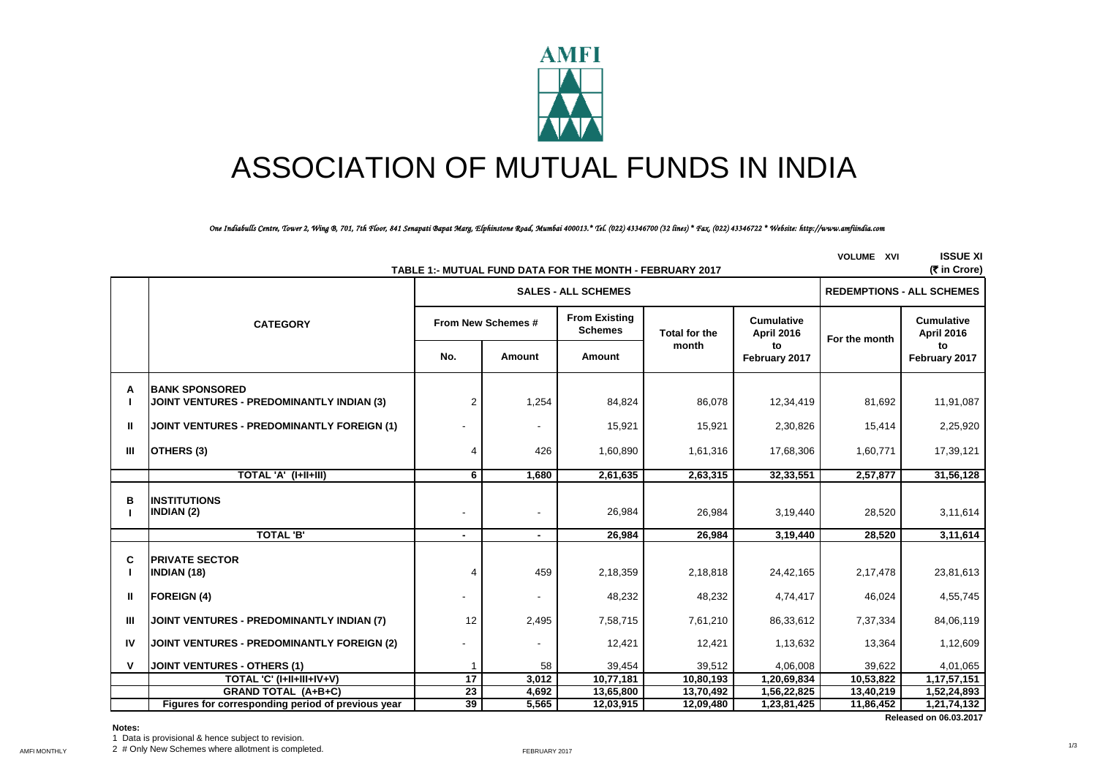

# ASSOCIATION OF MUTUAL FUNDS IN INDIA

*One Indiabulls Centre, Tower 2, Wing B, 701, 7th Floor, 841 Senapati Bapat Marg, Elphinstone Road, Mumbai 400013.\* Tel. (022) 43346700 (32 lines) \* Fax. (022) 43346722 \* Website: http://www.amfiindia.com*

| <b>ISSUE XI</b><br><b>VOLUME XVI</b><br>(₹ in Crore)<br>TABLE 1:- MUTUAL FUND DATA FOR THE MONTH - FEBRUARY 2017 |                                                                           |                                                              |                            |                                  |                                        |                     |                                        |                     |
|------------------------------------------------------------------------------------------------------------------|---------------------------------------------------------------------------|--------------------------------------------------------------|----------------------------|----------------------------------|----------------------------------------|---------------------|----------------------------------------|---------------------|
|                                                                                                                  |                                                                           |                                                              | <b>SALES - ALL SCHEMES</b> | <b>REDEMPTIONS - ALL SCHEMES</b> |                                        |                     |                                        |                     |
|                                                                                                                  | <b>CATEGORY</b>                                                           | <b>From Existing</b><br>From New Schemes #<br><b>Schemes</b> |                            | <b>Total for the</b>             | <b>Cumulative</b><br><b>April 2016</b> | For the month       | <b>Cumulative</b><br><b>April 2016</b> |                     |
|                                                                                                                  |                                                                           | No.                                                          | Amount                     | Amount                           | month                                  | to<br>February 2017 |                                        | to<br>February 2017 |
| А                                                                                                                | <b>BANK SPONSORED</b><br><b>JOINT VENTURES - PREDOMINANTLY INDIAN (3)</b> | $\overline{2}$                                               | 1,254                      | 84,824                           | 86,078                                 | 12,34,419           | 81,692                                 | 11,91,087           |
| Ш                                                                                                                | <b>JOINT VENTURES - PREDOMINANTLY FOREIGN (1)</b>                         |                                                              |                            | 15,921                           | 15,921                                 | 2,30,826            | 15,414                                 | 2,25,920            |
| Ш                                                                                                                | OTHERS (3)                                                                | 4                                                            | 426                        | 1,60,890                         | 1,61,316                               | 17,68,306           | 1,60,771                               | 17,39,121           |
|                                                                                                                  | TOTAL 'A' (I+II+III)                                                      | 6                                                            | 1,680                      | 2,61,635                         | 2,63,315                               | 32,33,551           | 2,57,877                               | 31,56,128           |
| в                                                                                                                | <b>INSTITUTIONS</b><br>INDIAN (2)                                         | $\overline{\phantom{a}}$                                     |                            | 26,984                           | 26,984                                 | 3,19,440            | 28,520                                 | 3,11,614            |
|                                                                                                                  | <b>TOTAL 'B'</b>                                                          | $\blacksquare$                                               | $\blacksquare$             | 26.984                           | 26.984                                 | 3,19,440            | 28,520                                 | 3,11,614            |
| C                                                                                                                | <b>PRIVATE SECTOR</b><br><b>INDIAN (18)</b>                               | 4                                                            | 459                        | 2,18,359                         | 2,18,818                               | 24,42,165           | 2,17,478                               | 23,81,613           |
| Ш                                                                                                                | <b>FOREIGN (4)</b>                                                        |                                                              |                            | 48,232                           | 48,232                                 | 4,74,417            | 46,024                                 | 4,55,745            |
| Ш                                                                                                                | JOINT VENTURES - PREDOMINANTLY INDIAN (7)                                 | 12                                                           | 2,495                      | 7,58,715                         | 7,61,210                               | 86,33,612           | 7,37,334                               | 84,06,119           |
| IV                                                                                                               | <b>JOINT VENTURES - PREDOMINANTLY FOREIGN (2)</b>                         |                                                              |                            | 12,421                           | 12,421                                 | 1,13,632            | 13,364                                 | 1,12,609            |
| v                                                                                                                | <b>JOINT VENTURES - OTHERS (1)</b>                                        |                                                              | 58                         | 39,454                           | 39,512                                 | 4,06,008            | 39,622                                 | 4,01,065            |
|                                                                                                                  | TOTAL 'C' (I+II+III+IV+V)                                                 | 17                                                           | 3,012                      | 10,77,181                        | 10,80,193                              | 1,20,69,834         | 10,53,822                              | 1,17,57,151         |
|                                                                                                                  | <b>GRAND TOTAL (A+B+C)</b>                                                | 23                                                           | 4,692                      | 13,65,800                        | 13,70,492                              | 1,56,22,825         | 13,40,219                              | 1,52,24,893         |
|                                                                                                                  | Figures for corresponding period of previous year                         | 39                                                           | 5,565                      | 12,03,915                        | 12,09,480                              | 1,23,81,425         | 11,86,452                              | 1,21,74,132         |

## **Notes:**

1 Data is provisional & hence subject to revision.

AMFI MONTHLY **2** # Only New Schemes where allotment is completed. The metal of the state of the server of the server  $2017$ 

 **Released on 06.03.2017**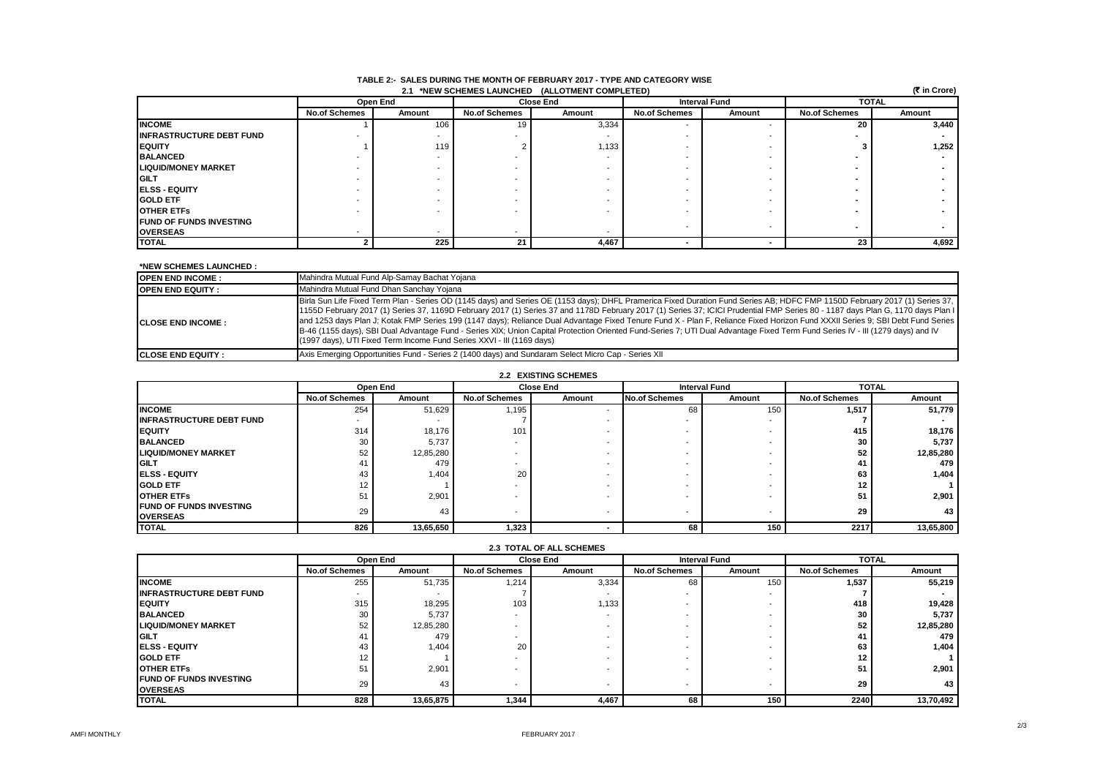| <b>INDEE 4. UNLEQUORING THE MUNITION TEDRONINT 49TH - THE NIVE UNTEQUINT MIDE</b><br>(₹ in Crore)<br>2.1 *NEW SCHEMES LAUNCHED (ALLOTMENT COMPLETED) |                      |        |                      |        |                      |                      |                      |              |  |
|------------------------------------------------------------------------------------------------------------------------------------------------------|----------------------|--------|----------------------|--------|----------------------|----------------------|----------------------|--------------|--|
|                                                                                                                                                      | Open End             |        | <b>Close End</b>     |        |                      | <b>Interval Fund</b> |                      | <b>TOTAL</b> |  |
|                                                                                                                                                      | <b>No.of Schemes</b> | Amount | <b>No.of Schemes</b> | Amount | <b>No.of Schemes</b> | Amount               | <b>No.of Schemes</b> | Amount       |  |
| <b>INCOME</b>                                                                                                                                        |                      | 106    | 19                   | 3,334  |                      |                      | 20                   | 3,440        |  |
| <b>INFRASTRUCTURE DEBT FUND</b>                                                                                                                      |                      | . .    |                      |        |                      |                      |                      |              |  |
| <b>EQUITY</b>                                                                                                                                        |                      | 119    |                      | 1,133  |                      |                      |                      | 1,252        |  |
| <b>BALANCED</b>                                                                                                                                      |                      | -      |                      |        |                      |                      |                      |              |  |
| <b>LIQUID/MONEY MARKET</b>                                                                                                                           |                      | -      |                      |        |                      |                      |                      |              |  |
| <b>IGILT</b>                                                                                                                                         |                      |        |                      |        |                      |                      |                      |              |  |
| <b>IELSS - EQUITY</b>                                                                                                                                |                      |        |                      |        |                      |                      |                      |              |  |
| <b>GOLD ETF</b>                                                                                                                                      |                      |        |                      |        |                      |                      |                      |              |  |
| <b>OTHER ETFS</b>                                                                                                                                    |                      |        |                      |        |                      |                      |                      |              |  |
| <b>IFUND OF FUNDS INVESTING</b>                                                                                                                      |                      |        |                      |        |                      |                      |                      |              |  |
| <b>OVERSEAS</b>                                                                                                                                      | . .                  | . .    |                      |        |                      |                      |                      |              |  |
| <b>TOTAL</b>                                                                                                                                         |                      | 225    | 21                   | 4,467  |                      |                      | 23                   | 4,692        |  |

# **TABLE 2:- SALES DURING THE MONTH OF FEBRUARY 2017 - TYPE AND CATEGORY WISE**

#### **\*NEW SCHEMES LAUNCHED :**

| <b>OPEN END INCOME:</b>   | Mahindra Mutual Fund Alp-Samay Bachat Yojana                                                                                                                                                                                                                                                                                                                                                                                                                                                                                                                                                                                                                                                                                                                                                                  |
|---------------------------|---------------------------------------------------------------------------------------------------------------------------------------------------------------------------------------------------------------------------------------------------------------------------------------------------------------------------------------------------------------------------------------------------------------------------------------------------------------------------------------------------------------------------------------------------------------------------------------------------------------------------------------------------------------------------------------------------------------------------------------------------------------------------------------------------------------|
| <b>IOPEN END EQUITY:</b>  | Mahindra Mutual Fund Dhan Sanchay Yojana                                                                                                                                                                                                                                                                                                                                                                                                                                                                                                                                                                                                                                                                                                                                                                      |
| <b>ICLOSE END INCOME:</b> | Birla Sun Life Fixed Term Plan - Series OD (1145 days) and Series OE (1153 days); DHFL Pramerica Fixed Duration Fund Series AB; HDFC FMP 1150D February 2017 (1) Series 37,<br>1155D February 2017 (1) Series 37, 1169D February 2017 (1) Series 37 and 1178D February 2017 (1) Series 37; ICICI Prudential FMP Series 80 - 1187 days Plan G, 1170 days Plan I<br>and 1253 days Plan J; Kotak FMP Series 199 (1147 days); Reliance Dual Advantage Fixed Tenure Fund X - Plan F, Reliance Fixed Horizon Fund XXXII Series 9; SBI Debt Fund Series  <br>B-46 (1155 days), SBI Dual Advantage Fund - Series XIX; Union Capital Protection Oriented Fund-Series 7; UTI Dual Advantage Fixed Term Fund Series IV - III (1279 days) and IV<br>(1997 days), UTI Fixed Term Income Fund Series XXVI - III (1169 days) |
| <b>ICLOSE END EQUITY:</b> | Axis Emerging Opportunities Fund - Series 2 (1400 days) and Sundaram Select Micro Cap - Series XII                                                                                                                                                                                                                                                                                                                                                                                                                                                                                                                                                                                                                                                                                                            |

#### **2.2 EXISTING SCHEMES**

|                                                    | Open End             |           |                      | <b>Close End</b> |                      | <b>Interval Fund</b>     |                      | <b>TOTAL</b> |
|----------------------------------------------------|----------------------|-----------|----------------------|------------------|----------------------|--------------------------|----------------------|--------------|
|                                                    | <b>No.of Schemes</b> | Amount    | <b>No.of Schemes</b> | Amount           | <b>No.of Schemes</b> | Amount                   | <b>No.of Schemes</b> | Amount       |
| <b>INCOME</b>                                      | 254                  | 51,629    | 1,195                |                  | 68                   | 150                      | 1,517                | 51,779       |
| <b>INFRASTRUCTURE DEBT FUND</b>                    |                      |           |                      |                  |                      | $\overline{\phantom{a}}$ |                      |              |
| <b>IEQUITY</b>                                     | 314                  | 18,176    | 101                  |                  |                      |                          | 415                  | 18,176       |
| <b>BALANCED</b>                                    | 30                   | 5,737     |                      |                  |                      | $\overline{\phantom{a}}$ | 30                   | 5,737        |
| <b>LIQUID/MONEY MARKET</b>                         | 52                   | 12,85,280 |                      |                  |                      | $\overline{\phantom{a}}$ | 52                   | 12,85,280    |
| <b>IGILT</b>                                       | 41                   | 479       |                      |                  |                      | $\overline{\phantom{a}}$ |                      | 479          |
| <b>IELSS - EQUITY</b>                              | 43                   | 1,404     | 20                   |                  |                      | $\overline{\phantom{a}}$ | 63                   | 1,404        |
| <b>GOLD ETF</b>                                    | 12                   |           |                      |                  |                      | $\overline{\phantom{a}}$ | 12                   |              |
| <b>OTHER ETFS</b>                                  | 51                   | 2,901     |                      |                  |                      | $\overline{\phantom{a}}$ | 51                   | 2,901        |
| <b>IFUND OF FUNDS INVESTING</b><br><b>OVERSEAS</b> | 29                   | 43        | . .                  |                  |                      | $\overline{\phantom{a}}$ | 29                   | 43           |
| <b>TOTAL</b>                                       | 826                  | 13,65,650 | 1,323                |                  | 68                   | 150                      | 2217                 | 13,65,800    |

| <b>2.3 TUTAL OF ALL SUREMES</b>                    |                      |           |                      |        |                      |        |                      |           |  |
|----------------------------------------------------|----------------------|-----------|----------------------|--------|----------------------|--------|----------------------|-----------|--|
|                                                    |                      | Open End  | <b>Close End</b>     |        | <b>Interval Fund</b> |        | <b>TOTAL</b>         |           |  |
|                                                    | <b>No.of Schemes</b> | Amount    | <b>No.of Schemes</b> | Amount | <b>No.of Schemes</b> | Amount | <b>No.of Schemes</b> | Amount    |  |
| <b>INCOME</b>                                      | 255                  | 51,735    | 1,214                | 3,334  | 68                   | 150    | 1.537                | 55,219    |  |
| <b>INFRASTRUCTURE DEBT FUND</b>                    |                      |           |                      |        |                      |        |                      |           |  |
| <b>IEQUITY</b>                                     | 315                  | 18,295    | 103                  | 1,133  |                      |        | 418                  | 19,428    |  |
| <b>BALANCED</b>                                    | 30                   | 5,737     |                      |        |                      |        | 30                   | 5,737     |  |
| <b>LIQUID/MONEY MARKET</b>                         | 52                   | 12,85,280 |                      |        |                      |        | 52                   | 12,85,280 |  |
| <b>IGILT</b>                                       | 41                   | 479       |                      |        |                      |        | 41                   | 479       |  |
| <b>IELSS - EQUITY</b>                              | 43                   | 1,404     | 20                   |        |                      |        | 63                   | 1,404     |  |
| <b>GOLD ETF</b>                                    | 12                   |           |                      |        |                      |        | 12 <sup>12</sup>     |           |  |
| <b>OTHER ETFS</b>                                  | 51                   | 2,901     |                      |        |                      |        | 51                   | 2,901     |  |
| <b>IFUND OF FUNDS INVESTING</b><br><b>OVERSEAS</b> | 29                   | 43        |                      |        |                      |        | 29                   | 43        |  |
| <b>TOTAL</b>                                       | 828                  | 13,65,875 | 1,344                | 4,467  | 68                   | 150    | 2240                 | 13,70,492 |  |

## **2.3 TOTAL OF ALL SCHEMES**